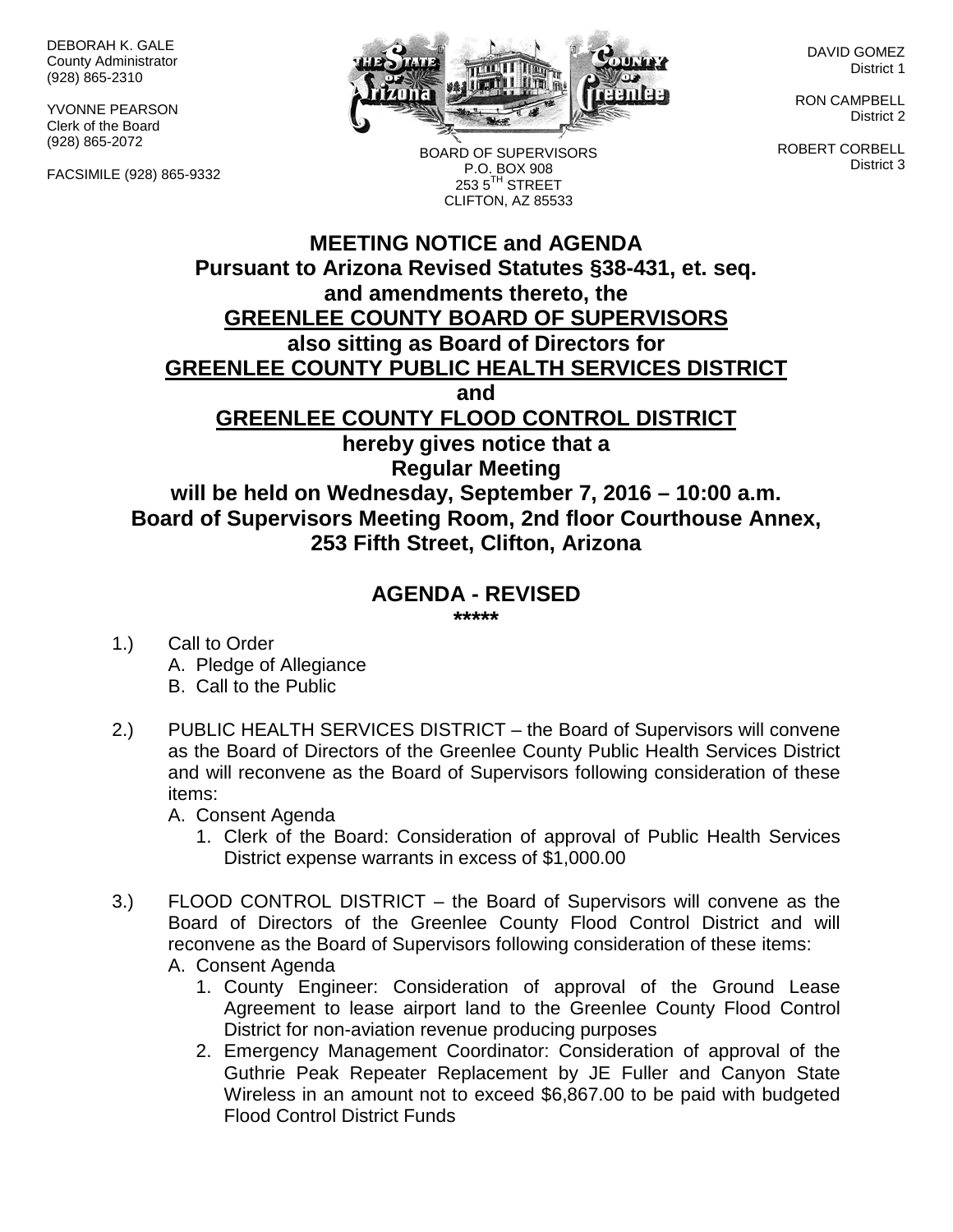DEBORAH K. GALE County Administrator (928) 865-2310

YVONNE PEARSON Clerk of the Board (928) 865-2072

FACSIMILE (928) 865-9332



BOARD OF SUPERVISORS P.O. BOX 908

DAVID GOMEZ District 1

RON CAMPBELL District 2

ROBERT CORBELL District 3

**MEETING NOTICE and AGENDA Pursuant to Arizona Revised Statutes §38-431, et. seq. and amendments thereto, the GREENLEE COUNTY BOARD OF SUPERVISORS also sitting as Board of Directors for GREENLEE COUNTY PUBLIC HEALTH SERVICES DISTRICT and GREENLEE COUNTY FLOOD CONTROL DISTRICT hereby gives notice that a Regular Meeting**  $2535^{\text{TH}}$  STREET CLIFTON, AZ 85533

**will be held on Wednesday, September 7, 2016 – 10:00 a.m. Board of Supervisors Meeting Room, 2nd floor Courthouse Annex, 253 Fifth Street, Clifton, Arizona**

## **AGENDA - REVISED**

**\*\*\*\*\***

- 1.) Call to Order A. Pledge of Allegiance B. Call to the Public
- 2.) PUBLIC HEALTH SERVICES DISTRICT the Board of Supervisors will convene as the Board of Directors of the Greenlee County Public Health Services District and will reconvene as the Board of Supervisors following consideration of these items:

A. Consent Agenda

- 1. Clerk of the Board: Consideration of approval of Public Health Services District expense warrants in excess of \$1,000.00
- 3.) FLOOD CONTROL DISTRICT the Board of Supervisors will convene as the Board of Directors of the Greenlee County Flood Control District and will reconvene as the Board of Supervisors following consideration of these items:
	- A. Consent Agenda
		- 1. County Engineer: Consideration of approval of the Ground Lease Agreement to lease airport land to the Greenlee County Flood Control District for non-aviation revenue producing purposes
		- 2. Emergency Management Coordinator: Consideration of approval of the Guthrie Peak Repeater Replacement by JE Fuller and Canyon State Wireless in an amount not to exceed \$6,867.00 to be paid with budgeted Flood Control District Funds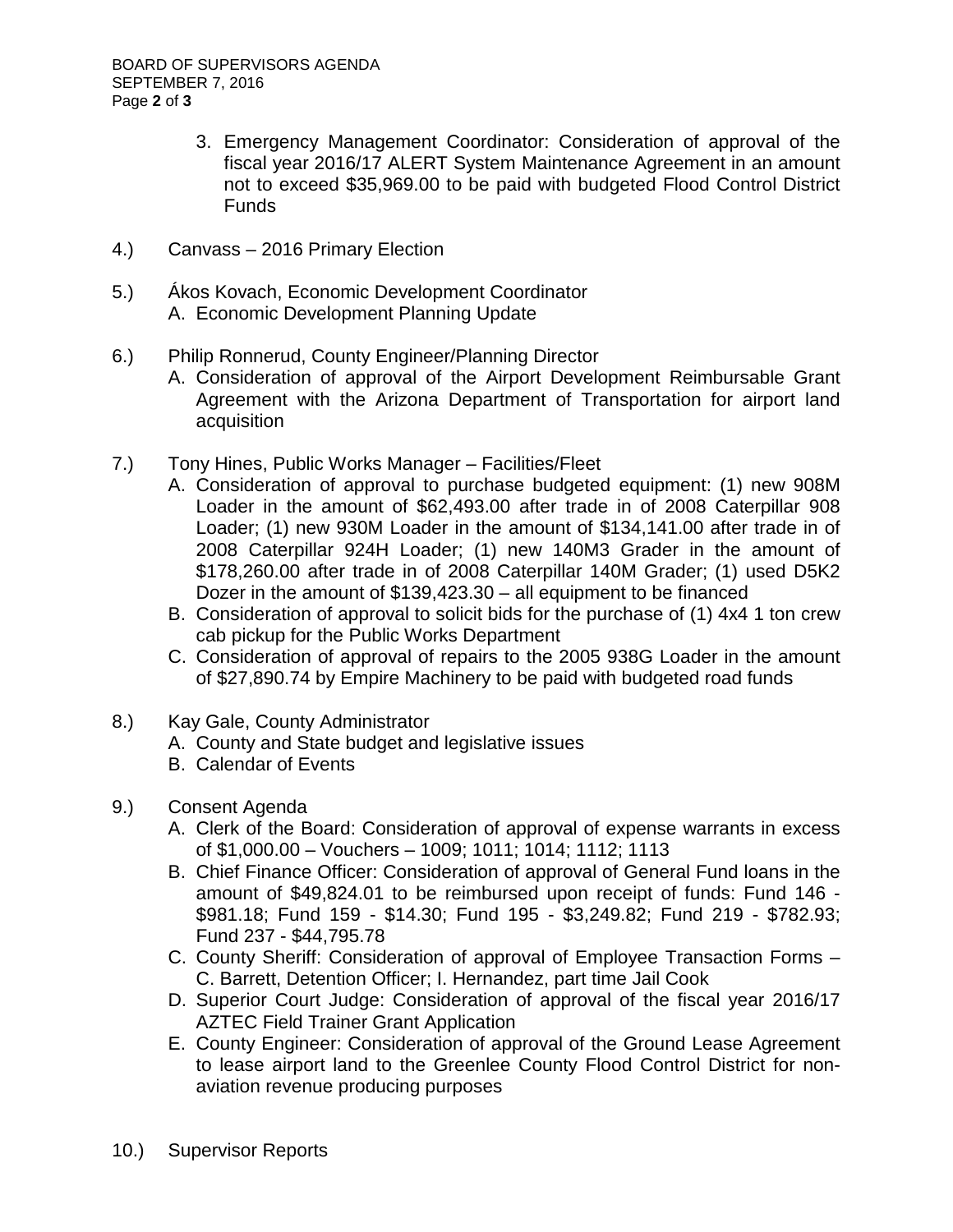- 3. Emergency Management Coordinator: Consideration of approval of the fiscal year 2016/17 ALERT System Maintenance Agreement in an amount not to exceed \$35,969.00 to be paid with budgeted Flood Control District Funds
- 4.) Canvass 2016 Primary Election
- 5.) Ákos Kovach, Economic Development Coordinator A. Economic Development Planning Update
- 6.) Philip Ronnerud, County Engineer/Planning Director
	- A. Consideration of approval of the Airport Development Reimbursable Grant Agreement with the Arizona Department of Transportation for airport land acquisition
- 7.) Tony Hines, Public Works Manager Facilities/Fleet
	- A. Consideration of approval to purchase budgeted equipment: (1) new 908M Loader in the amount of \$62,493.00 after trade in of 2008 Caterpillar 908 Loader; (1) new 930M Loader in the amount of \$134,141.00 after trade in of 2008 Caterpillar 924H Loader; (1) new 140M3 Grader in the amount of \$178,260.00 after trade in of 2008 Caterpillar 140M Grader; (1) used D5K2 Dozer in the amount of \$139,423.30 – all equipment to be financed
	- B. Consideration of approval to solicit bids for the purchase of (1) 4x4 1 ton crew cab pickup for the Public Works Department
	- C. Consideration of approval of repairs to the 2005 938G Loader in the amount of \$27,890.74 by Empire Machinery to be paid with budgeted road funds
- 8.) Kay Gale, County Administrator
	- A. County and State budget and legislative issues
	- B. Calendar of Events
- 9.) Consent Agenda
	- A. Clerk of the Board: Consideration of approval of expense warrants in excess of \$1,000.00 – Vouchers – 1009; 1011; 1014; 1112; 1113
	- B. Chief Finance Officer: Consideration of approval of General Fund loans in the amount of \$49,824.01 to be reimbursed upon receipt of funds: Fund 146 - \$981.18; Fund 159 - \$14.30; Fund 195 - \$3,249.82; Fund 219 - \$782.93; Fund 237 - \$44,795.78
	- C. County Sheriff: Consideration of approval of Employee Transaction Forms C. Barrett, Detention Officer; I. Hernandez, part time Jail Cook
	- D. Superior Court Judge: Consideration of approval of the fiscal year 2016/17 AZTEC Field Trainer Grant Application
	- E. County Engineer: Consideration of approval of the Ground Lease Agreement to lease airport land to the Greenlee County Flood Control District for nonaviation revenue producing purposes
- 10.) Supervisor Reports